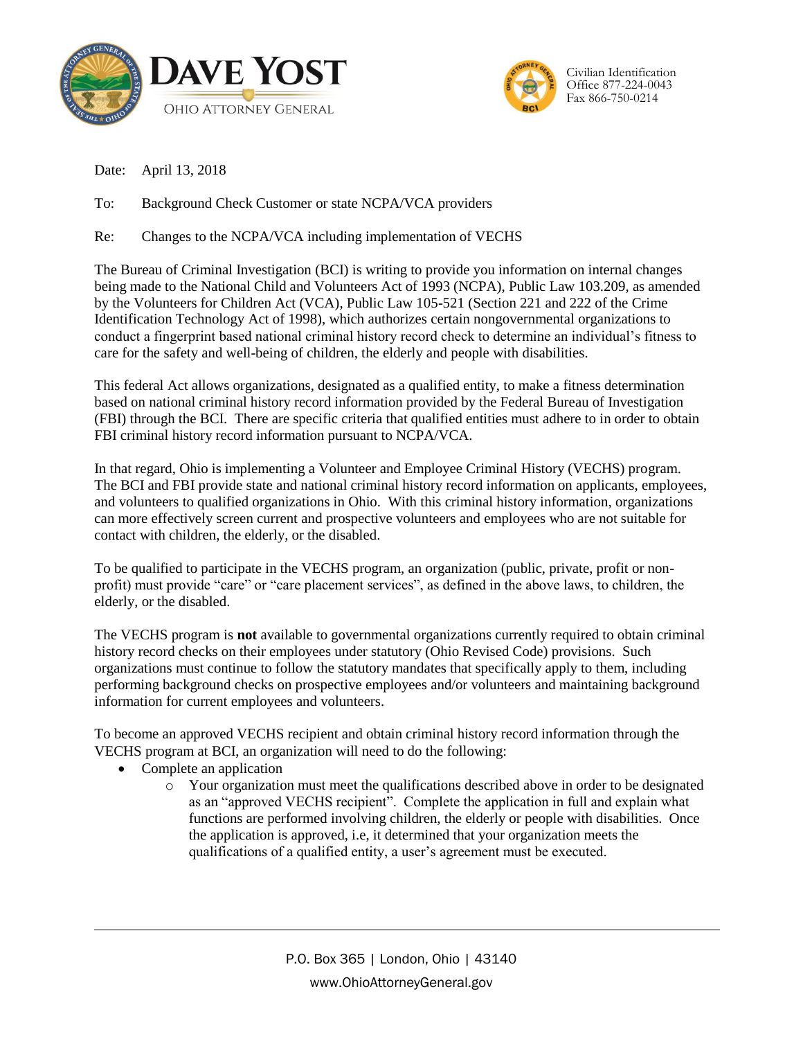



Date: April 13, 2018

To: Background Check Customer or state NCPA/VCA providers

Re: Changes to the NCPA/VCA including implementation of VECHS

The Bureau of Criminal Investigation (BCI) is writing to provide you information on internal changes being made to the National Child and Volunteers Act of 1993 (NCPA), Public Law 103.209, as amended by the Volunteers for Children Act (VCA), Public Law 105-521 (Section 221 and 222 of the Crime Identification Technology Act of 1998), which authorizes certain nongovernmental organizations to conduct a fingerprint based national criminal history record check to determine an individual's fitness to care for the safety and well-being of children, the elderly and people with disabilities.

This federal Act allows organizations, designated as a qualified entity, to make a fitness determination based on national criminal history record information provided by the Federal Bureau of Investigation (FBI) through the BCI. There are specific criteria that qualified entities must adhere to in order to obtain FBI criminal history record information pursuant to NCPA/VCA.

In that regard, Ohio is implementing a Volunteer and Employee Criminal History (VECHS) program. The BCI and FBI provide state and national criminal history record information on applicants, employees, and volunteers to qualified organizations in Ohio. With this criminal history information, organizations can more effectively screen current and prospective volunteers and employees who are not suitable for contact with children, the elderly, or the disabled.

To be qualified to participate in the VECHS program, an organization (public, private, profit or nonprofit) must provide "care" or "care placement services", as defined in the above laws, to children, the elderly, or the disabled.

The VECHS program is **not** available to governmental organizations currently required to obtain criminal history record checks on their employees under statutory (Ohio Revised Code) provisions. Such organizations must continue to follow the statutory mandates that specifically apply to them, including performing background checks on prospective employees and/or volunteers and maintaining background information for current employees and volunteers.

To become an approved VECHS recipient and obtain criminal history record information through the VECHS program at BCI, an organization will need to do the following:

- Complete an application
	- o Your organization must meet the qualifications described above in order to be designated as an "approved VECHS recipient". Complete the application in full and explain what functions are performed involving children, the elderly or people with disabilities. Once the application is approved, i.e, it determined that your organization meets the qualifications of a qualified entity, a user's agreement must be executed.